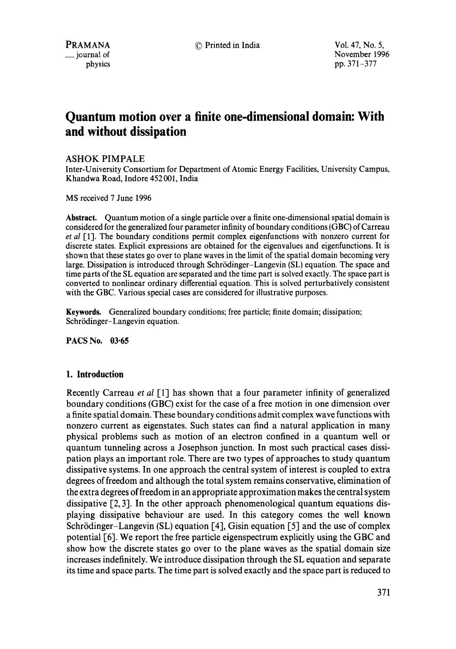PRAMANA © Printed in India Vol. 47, No. 5, November 1996 physics pp. 371–377

# **Quantum motion over a finite one-dimensional domain: With and without dissipation**

## ASHOK PIMPALE

Inter-University Consortium for Department of Atomic Energy Facilities, University Campus, Khandwa Road, Indore 452 001, India

MS received 7 June 1996

**Abstract.** Quantum motion of a single particle over a finite one-dimensional spatial domain is considered for the generalized four parameter infinity of boundary conditions (GBC) of Carreau *et al* [1]. The boundary conditions permit complex eigenfunctions with nonzero current for discrete states. Explicit expressions are obtained for the eigenvalues and eigenfunctions. It is shown that these states go over to plane waves in the limit of the spatial domain becoming very large. Dissipation is introduced through Schrödinger-Langevin (SL) equation. The space and time parts of the SL equation are separated and the time part is solved exactly. The space part is converted to nonlinear ordinary differential equation. This is solved perturbatively consistent with the GBC. Various special cases are considered for illustrative purposes.

**Keywords.** Generalized boundary conditions; free particle; finite domain; dissipation; Schrödinger-Langevin equation.

**PACS No. 03.65** 

## **1. Introduction**

Recently Carreau *et al* [1] has shown that a four parameter infinity of generalized boundary conditions (GBC) exist for the case of a free motion in one dimension over a finite spatial domain. These boundary conditions admit complex wave functions with nonzero current as eigenstates. Such states can find a natural application in many physical problems such as motion of an electron confined in a quantum well or quantum tunneling across a Josephson junction. In most such practical cases dissipation plays an important role. There are two types of approaches to study quantum dissipative systems. In one approach the central system of interest is coupled to extra degrees of freedom and although the total system remains conservative, elimination of the extra degrees of freedom in an appropriate approximation makes the central system dissipative [2, 3]. In the other approach phenomenological quantum equations displaying dissipative behaviour are used. In this category comes the well known Schrödinger-Langevin (SL) equation [4], Gisin equation [5] and the use of complex potential [6]. We report the free particle eigenspectrum explicitly using the GBC and show how the discrete states go over to the plane waves as the spatial domain size increases indefinitely. We introduce dissipation through the SL equation and separate its time and space parts. The time part is solved exactly and the space part is reduced to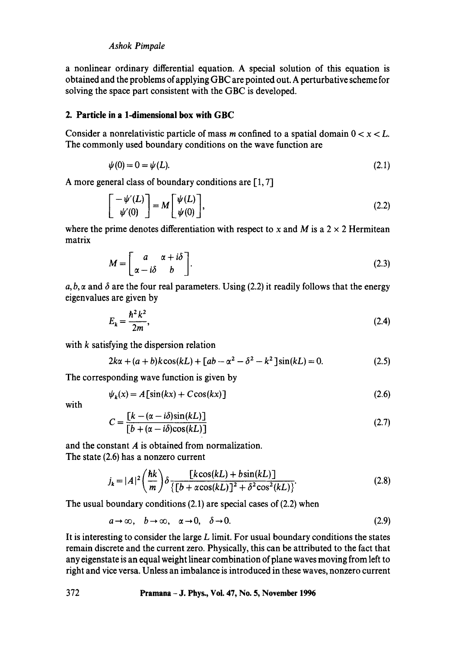## *Ashok Pimpale*

a nonlinear ordinary differential equation. A special solution of this equation is obtained and the problems of applying GBC are pointed out. A perturbative scheme for solving the space part consistent with the GBC is developed.

## **2. Particle in a 1-dimensional box with GBC**

Consider a nonrelativistic particle of mass m confined to a spatial domain  $0 < x < L$ . The commonly used boundary conditions on the wave function are

$$
\psi(0) = 0 = \psi(L). \tag{2.1}
$$

A more general class of boundary conditions are  $[1, 7]$ 

$$
\begin{bmatrix} -\psi'(L) \\ \psi'(0) \end{bmatrix} = M \begin{bmatrix} \psi(L) \\ \psi(0) \end{bmatrix},
$$
\n(2.2)

where the prime denotes differentiation with respect to x and M is a  $2 \times 2$  Hermitean matrix

$$
M = \begin{bmatrix} a & \alpha + i\delta \\ \alpha - i\delta & b \end{bmatrix}.
$$
 (2.3)

a, b,  $\alpha$  and  $\delta$  are the four real parameters. Using (2.2) it readily follows that the energy eigenvalues are given by

$$
E_k = \frac{\hbar^2 k^2}{2m},\tag{2.4}
$$

with k satisfying the dispersion relation

$$
2k\alpha + (a+b)k\cos(kL) + [ab - \alpha^2 - \delta^2 - k^2]\sin(kL) = 0.
$$
 (2.5)

The corresponding wave function is given by

$$
\psi_k(x) = A \left[ \sin(kx) + C \cos(kx) \right] \tag{2.6}
$$

with

$$
C = \frac{\left[k - (\alpha - i\delta)\sin(kL)\right]}{\left[b + (\alpha - i\delta)\cos(kL)\right]}
$$
\n(2.7)

and the constant A is obtained from normalization. The state (2.6) has a nonzero current

$$
j_k = |A|^2 \left(\frac{\hbar k}{m}\right) \delta \frac{\left[k\cos(kL) + b\sin(kL)\right]}{\left\{\left[b + \alpha\cos(kL)\right]^2 + \delta^2\cos^2(kL)\right\}}.
$$
\n(2.8)

The usual boundary conditions (2.1) are special cases of (2.2) when

$$
a \to \infty, \quad b \to \infty, \quad \alpha \to 0, \quad \delta \to 0. \tag{2.9}
$$

It is interesting to consider the large  $L$  limit. For usual boundary conditions the states remain discrete and the current zero. Physically, this can be attributed to the fact that any eigenstate is an equal weight linear combination of plane waves moving from left to right and vice versa. Unless an imbalance is introduced in these waves, nonzero current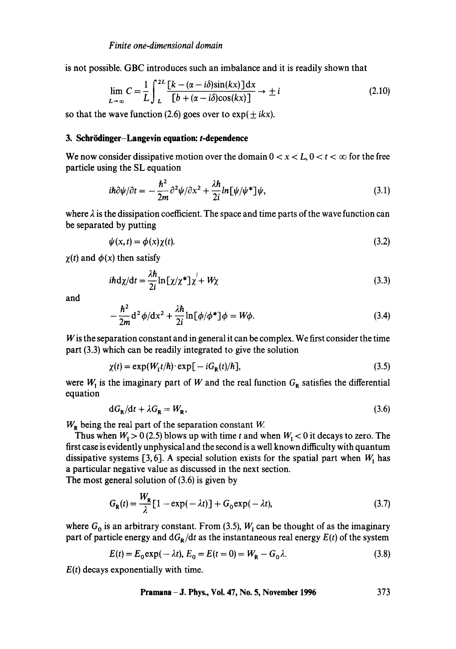is not possible. GBC introduces such an imbalance and it is readily shown that

$$
\lim_{L \to \infty} C = \frac{1}{L} \int_{-L}^{2L} \frac{\left[k - (\alpha - i\delta)\sin(kx)\right]dx}{\left[b + (\alpha - i\delta)\cos(kx)\right]} \to \pm i
$$
\n(2.10)

so that the wave function (2.6) goes over to  $\exp(\pm ikx)$ .

#### **3. Schriidinger-Langevin equation: t-dependence**

We now consider dissipative motion over the domain  $0 < x < L$ ,  $0 < t < \infty$  for the free particle using the SL equation

$$
i\hbar \partial \psi/\partial t = -\frac{\hbar^2}{2m} \partial^2 \psi/\partial x^2 + \frac{\lambda \hbar}{2i} ln[\psi/\psi^*] \psi,
$$
\n(3.1)

where  $\lambda$  is the dissipation coefficient. The space and time parts of the wave function can be separated by putting

$$
\psi(x,t) = \phi(x)\chi(t). \tag{3.2}
$$

 $\chi(t)$  and  $\phi(x)$  then satisfy

$$
i\hbar d\chi/dt = \frac{\lambda\hbar}{2i} \ln \left[ \chi/\chi^* \right] \chi^{\dagger} + W\chi \tag{3.3}
$$

and

$$
-\frac{\hbar^2}{2m}\mathrm{d}^2\phi/\mathrm{d}x^2 + \frac{\lambda\hbar}{2i}\ln\left[\phi/\phi^*\right]\phi = W\phi.
$$
 (3.4)

W is the separation constant and in general it can be complex. We first consider the time part (3.3) which can be readily integrated to give the solution

$$
\chi(t) = \exp(W_1 t/\hbar) \cdot \exp[-iG_{\mathbf{R}}(t)/\hbar],\tag{3.5}
$$

were  $W_I$  is the imaginary part of W and the real function  $G_R$  satisfies the differential equation

$$
dG_{R}/dt + \lambda G_{R} = W_{R}, \qquad (3.6)
$$

 $W_R$  being the real part of the separation constant W.

Thus when  $W_{I} > 0$  (2.5) blows up with time t and when  $W_{I} < 0$  it decays to zero. The first case is evidently unphysical and the second is a well known difficulty with quantum dissipative systems [3, 6]. A special solution exists for the spatial part when  $W_1$  has a particular negative value as discussed in the next section.

The most general solution of (3.6) is given by

$$
G_{\mathbf{R}}(t) = \frac{W_{\mathbf{R}}}{\lambda} \left[ 1 - \exp(-\lambda t) \right] + G_0 \exp(-\lambda t),\tag{3.7}
$$

where  $G_0$  is an arbitrary constant. From (3.5),  $W_1$  can be thought of as the imaginary part of particle energy and  $dG_R/dt$  as the instantaneous real energy  $E(t)$  of the system

$$
E(t) = E_0 \exp(-\lambda t), E_0 = E(t = 0) = W_R - G_0 \lambda.
$$
 (3.8)

*E(t)* decays exponentially with time.

$$
Pramana-J. Phys., Vol. 47, No. 5, November 1996 373
$$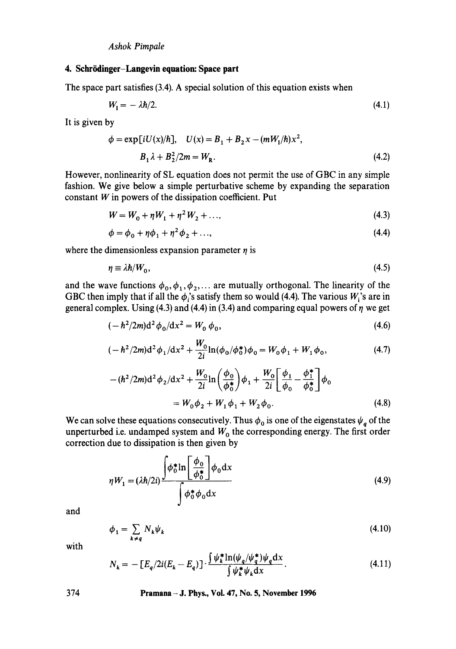### **4. Schriidinger-Langevin equation: Space part**

The space part satisfies (3.4). A special solution of this equation exists when

$$
W_{\rm I} = -\lambda \hbar / 2. \tag{4.1}
$$

It is given by

$$
\phi = \exp[iU(x)/\hbar], \quad U(x) = B_1 + B_2 x - (mW_1/\hbar)x^2,
$$
  

$$
B_1 \lambda + B_2^2/2m = W_R.
$$
 (4.2)

However, nonlinearity of SL equation does not permit the use of GBC in any simple fashion. We give below a simple perturbative scheme by expanding the separation **constant W in powers of the dissipation coefficient. Put** 

$$
W = W_0 + \eta W_1 + \eta^2 W_2 + \dots,
$$
\n(4.3)

$$
\phi = \phi_0 + \eta \phi_1 + \eta^2 \phi_2 + ..., \tag{4.4}
$$

where the dimensionless expansion parameter  $\eta$  is

$$
\eta \equiv \lambda \hbar / W_0, \tag{4.5}
$$

and the wave functions  $\phi_0, \phi_1, \phi_2, \dots$  are mutually orthogonal. The linearity of the GBC then imply that if all the  $\phi_i$ 's satisfy them so would (4.4). The various  $W_i$ 's are in general complex. Using  $(4.3)$  and  $(4.4)$  in  $(3.4)$  and comparing equal powers of  $\eta$  we get

$$
(-\hbar^2/2m)\mathrm{d}^2\phi_0/\mathrm{d}x^2 = W_0\,\phi_0,\tag{4.6}
$$

$$
(-\hbar^2/2m)\mathrm{d}^2\phi_1/\mathrm{d}x^2 + \frac{W_0}{2i}\ln(\phi_0/\phi_0^*)\phi_0 = W_0\phi_1 + W_1\phi_0,\tag{4.7}
$$

$$
-(\hbar^2/2m)\mathrm{d}^2\phi_2/\mathrm{d}x^2 + \frac{W_0}{2i}\ln\left(\frac{\phi_0}{\phi_0^*}\right)\phi_1 + \frac{W_0}{2i}\left[\frac{\phi_1}{\phi_0} - \frac{\phi_1^*}{\phi_0^*}\right]\phi_0
$$
  
=  $W_0\phi_2 + W_1\phi_1 + W_2\phi_0.$  (4.8)

We can solve these equations consecutively. Thus  $\phi_0$  is one of the eigenstates  $\psi_q$  of the unperturbed i.e. undamped system and  $W_0$  the corresponding energy. The first order correction due to dissipation is then given by

$$
\eta W_1 = (\lambda \hbar/2i) \frac{\int \phi_0^* \ln \left[ \frac{\phi_0}{\phi_0^*} \right] \phi_0 dx}{\int \phi_0^* \phi_0 dx}
$$
\n(4.9)

and

$$
\phi_1 = \sum_{k \neq q} N_k \psi_k \tag{4.10}
$$

with

$$
N_k = -\left[E_q/2i(E_k - E_q)\right] \cdot \frac{\int \psi_k^* \ln(\psi_q/\psi_q^*) \psi_q \, dx}{\int \psi_k^* \psi_k \, dx}.
$$
\n(4.11)

**374 Pramana - J. Phys., Vol. 47, No. 5, November 1996**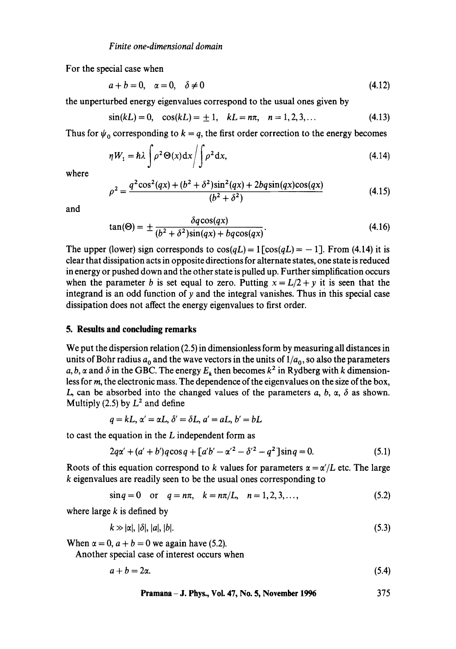For the special case when

$$
a+b=0, \quad \alpha=0, \quad \delta \neq 0 \tag{4.12}
$$

the unperturbed energy eigenvalues correspond to the usual ones given by

$$
\sin(kL) = 0, \quad \cos(kL) = \pm 1, \quad kL = n\pi, \quad n = 1, 2, 3, \dots \tag{4.13}
$$

Thus for  $\psi_0$  corresponding to  $k = q$ , the first order correction to the energy becomes

$$
\eta W_1 = \hbar \lambda \int \rho^2 \Theta(x) dx / \int \rho^2 dx,
$$
\n(4.14)

where

$$
\rho^2 = \frac{q^2 \cos^2(qx) + (b^2 + \delta^2)\sin^2(qx) + 2bg \sin(qx)\cos(qx)}{(b^2 + \delta^2)}
$$
(4.15)

and

$$
\tan(\Theta) = \pm \frac{\delta q \cos(qx)}{(b^2 + \delta^2)\sin(qx) + bq \cos(qx)}.\tag{4.16}
$$

The upper (lower) sign corresponds to  $cos(qL) = 1$  [cos(qL) = -1]. From (4.14) it is clear that dissipation acts in opposite directions for alternate states, one state is reduced in energy or pushed down and the other state is pulled up. Further simplification occurs when the parameter b is set equal to zero. Putting  $x = L/2 + y$  it is seen that the integrand is an odd function of  $\gamma$  and the integral vanishes. Thus in this special case dissipation does not affect the energy eigenvalues to first order.

## **5. Results and concluding remarks**

We put the dispersion relation (2.5) in dimensionless form by measuring all distances in units of Bohr radius  $a_0$  and the wave vectors in the units of  $1/a_0$ , so also the parameters a, b,  $\alpha$  and  $\delta$  in the GBC. The energy  $E_k$  then becomes  $k^2$  in Rydberg with k dimensionless for m, the electronic mass. The dependence of the eigenvalues on the size of the box, L, can be absorbed into the changed values of the parameters a, b,  $\alpha$ ,  $\delta$  as shown. Multiply (2.5) by  $L^2$  and define

$$
q = kL, \alpha' = \alpha L, \delta' = \delta L, a' = aL, b' = bL
$$

to cast the equation in the  $L$  independent form as

$$
2q\alpha' + (a' + b')q\cos q + [a'b' - \alpha'^2 - \delta'^2 - q^2]\sin q = 0.
$$
 (5.1)

Roots of this equation correspond to k values for parameters  $\alpha = \alpha'/L$  etc. The large k eigenvalues are readily seen to be the usual ones corresponding to

$$
\sin q = 0 \quad \text{or} \quad q = n\pi, \quad k = n\pi/L, \quad n = 1, 2, 3, \dots,
$$
\n(5.2)

where large  $k$  is defined by

$$
k \gg |\alpha|, |\delta|, |a|, |b|.
$$
 (5.3)

When  $\alpha = 0$ ,  $a + b = 0$  we again have (5.2).

Another special case of interest occurs when

 $a + b = 2\alpha.$  (5.4)

$$
Pramana-J. Phys., Vol. 47, No. 5, November 1996 375
$$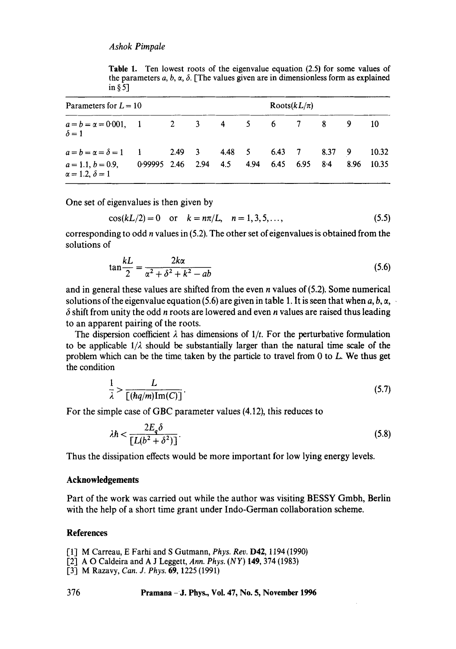**Table** 1. Ten lowest roots of the eigenvalue equation (2.5) for some values of the parameters a, b,  $\alpha$ ,  $\delta$ . [The values given are in dimensionless form as explained in § 5]

| Parameters for $L = 10$                                                                                                                     |  |  |  |  |  | Roots $(kL/\pi)$    |  |  |  |                     |
|---------------------------------------------------------------------------------------------------------------------------------------------|--|--|--|--|--|---------------------|--|--|--|---------------------|
| $a = b = \alpha = 0.001, \quad 1 \quad 2 \quad 3 \quad 4 \quad 5 \quad 6 \quad 7 \quad 8 \quad 9$<br>$\delta = 1$                           |  |  |  |  |  |                     |  |  |  | 10                  |
| $a = b = \alpha = \delta = 1$ 1 2.49 3 4.48 5 6.43 7 8.37 9<br>$a = 1.1, b = 0.9,$ 0.99995 2.46 2.94 4.5 4.94<br>$\alpha = 1.2, \delta = 1$ |  |  |  |  |  | $6.45$ $6.95$ $8.4$ |  |  |  | 10.32<br>8.96 10.35 |

One set of eigenvalues is then given by

$$
\cos(kL/2) = 0 \quad \text{or} \quad k = n\pi/L, \quad n = 1, 3, 5, \dots,
$$
 (5.5)

corresponding to odd  $n$  values in (5.2). The other set of eigenvalues is obtained from the solutions of

$$
\tan\frac{k}{2} = \frac{2k\alpha}{\alpha^2 + \delta^2 + k^2 - ab}
$$
 (5.6)

and in general these values are shifted from the even *n* values of  $(5.2)$ . Some numerical solutions of the eigenvalue equation (5.6) are given in table 1. It is seen that when a, b,  $\alpha$ , .  $\delta$  shift from unity the odd *n* roots are lowered and even *n* values are raised thus leading to an apparent pairing of the roots.

The dispersion coefficient  $\lambda$  has dimensions of  $1/t$ . For the perturbative formulation to be applicable  $1/\lambda$  should be substantially larger than the natural time scale of the problem which can be the time taken by the particle to travel from  $0$  to  $L$ . We thus get the condition

$$
\frac{1}{\lambda} > \frac{L}{[(hq/m)\operatorname{Im}(C)]}.
$$
\n(5.7)

For the simple case of GBC parameter values (4.12), this reduces to

$$
\lambda \hbar < \frac{2E_q \delta}{\left[L(b^2 + \delta^2)\right]}.\tag{5.8}
$$

Thus the dissipation effects would be more important for low lying energy levels.

#### **Acknowledgements**

Part of the work was carried out while the author was visiting BESSY Gmbh, Berlin with the help of a short time grant under Indo-German collaboration scheme.

#### **References**

- [1] M Carreau, E Farhi and S Gutmann, *Phys. Rev.* D42, 1194 (1990)
- [2] A O Caldeira and A J Leggett, *Ann. Phys. (NY)* 149, 374 (1983)
- [3] M Razavy, *Can. J. Phys.* 69, 1225 (1991)